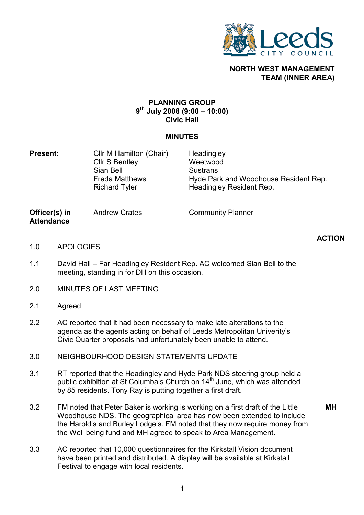

## NORTH WEST MANAGEMENT TEAM (INNER AREA)

## PLANNING GROUP 9 th July 2008 (9:00 – 10:00) Civic Hall

## MINUTES

**Present:** Cllr M Hamilton (Chair) Cllr S Bentley Sian Bell Freda Matthews Richard Tyler **Headingley** Weetwood **Sustrans** Hyde Park and Woodhouse Resident Rep. Headingley Resident Rep.

Officer(s) in **Attendance** 

Andrew Crates **Community Planner** 

## ACTION

- 1.0 **APOLOGIES**
- 1.1 David Hall – Far Headingley Resident Rep. AC welcomed Sian Bell to the meeting, standing in for DH on this occasion.
- 2.0 MINUTES OF LAST MEETING
- 2.1 Agreed
- 2.2 AC reported that it had been necessary to make late alterations to the agenda as the agents acting on behalf of Leeds Metropolitan Univerity's Civic Quarter proposals had unfortunately been unable to attend.
- 3.0 NEIGHBOURHOOD DESIGN STATEMENTS UPDATE
- 3.1 RT reported that the Headingley and Hyde Park NDS steering group held a public exhibition at St Columba's Church on 14<sup>th</sup> June, which was attended by 85 residents. Tony Ray is putting together a first draft.
- 3.2 FM noted that Peter Baker is working is working on a first draft of the Little Woodhouse NDS. The geographical area has now been extended to include the Harold's and Burley Lodge's. FM noted that they now require money from the Well being fund and MH agreed to speak to Area Management. MH
- 3.3 AC reported that 10,000 questionnaires for the Kirkstall Vision document have been printed and distributed. A display will be available at Kirkstall Festival to engage with local residents.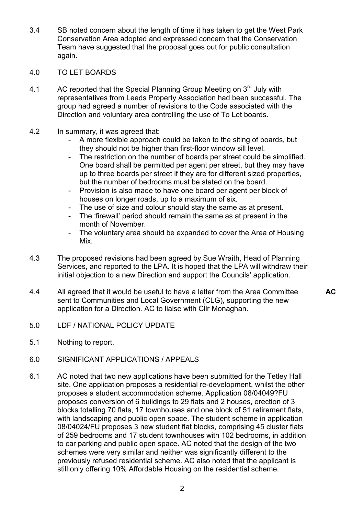- 3.4 SB noted concern about the length of time it has taken to get the West Park Conservation Area adopted and expressed concern that the Conservation Team have suggested that the proposal goes out for public consultation again.
- 4.0 TO LET BOARDS
- 4.1 AC reported that the Special Planning Group Meeting on 3<sup>rd</sup> July with representatives from Leeds Property Association had been successful. The group had agreed a number of revisions to the Code associated with the Direction and voluntary area controlling the use of To Let boards.
- 4.2 In summary, it was agreed that:
	- A more flexible approach could be taken to the siting of boards, but they should not be higher than first-floor window sill level.
	- The restriction on the number of boards per street could be simplified. One board shall be permitted per agent per street, but they may have up to three boards per street if they are for different sized properties, but the number of bedrooms must be stated on the board.
	- Provision is also made to have one board per agent per block of houses on longer roads, up to a maximum of six.
	- The use of size and colour should stay the same as at present.
	- The 'firewall' period should remain the same as at present in the month of November.
	- The voluntary area should be expanded to cover the Area of Housing Mix.

**AC** 

- 4.3 The proposed revisions had been agreed by Sue Wraith, Head of Planning Services, and reported to the LPA. It is hoped that the LPA will withdraw their initial objection to a new Direction and support the Councils' application.
- 4.4 All agreed that it would be useful to have a letter from the Area Committee sent to Communities and Local Government (CLG), supporting the new application for a Direction. AC to liaise with Cllr Monaghan.
- 5.0 LDF / NATIONAL POLICY UPDATE
- 5.1 Nothing to report.
- 6.0 SIGNIFICANT APPLICATIONS / APPEALS
- 6.1 AC noted that two new applications have been submitted for the Tetley Hall site. One application proposes a residential re-development, whilst the other proposes a student accommodation scheme. Application 08/04049?FU proposes conversion of 6 buildings to 29 flats and 2 houses, erection of 3 blocks totalling 70 flats, 17 townhouses and one block of 51 retirement flats, with landscaping and public open space. The student scheme in application 08/04024/FU proposes 3 new student flat blocks, comprising 45 cluster flats of 259 bedrooms and 17 student townhouses with 102 bedrooms, in addition to car parking and public open space. AC noted that the design of the two schemes were very similar and neither was significantly different to the previously refused residential scheme. AC also noted that the applicant is still only offering 10% Affordable Housing on the residential scheme.